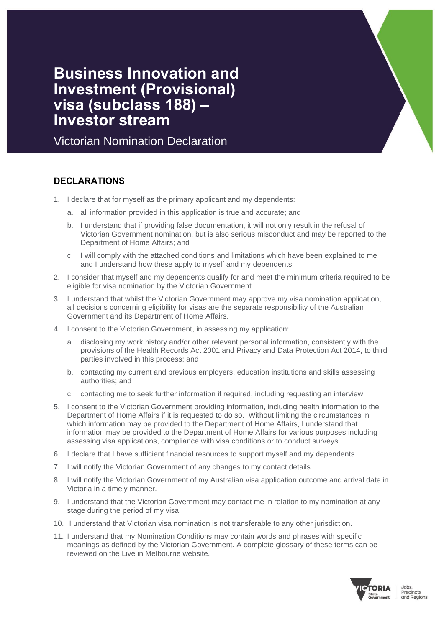# **Business Innovation and Investment (Provisional) visa (subclass 188) – Investor stream**

Victorian Nomination Declaration

## **DECLARATIONS**

- 1. I declare that for myself as the primary applicant and my dependents:
	- a. all information provided in this application is true and accurate; and
	- b. I understand that if providing false documentation, it will not only result in the refusal of Victorian Government nomination, but is also serious misconduct and may be reported to the Department of Home Affairs; and
	- c. I will comply with the attached conditions and limitations which have been explained to me and I understand how these apply to myself and my dependents.
- 2. I consider that myself and my dependents qualify for and meet the minimum criteria required to be eligible for visa nomination by the Victorian Government.
- 3. I understand that whilst the Victorian Government may approve my visa nomination application, all decisions concerning eligibility for visas are the separate responsibility of the Australian Government and its Department of Home Affairs.
- 4. I consent to the Victorian Government, in assessing my application:
	- a. disclosing my work history and/or other relevant personal information, consistently with the provisions of the Health Records Act 2001 and Privacy and Data Protection Act 2014, to third parties involved in this process; and
	- b. contacting my current and previous employers, education institutions and skills assessing authorities; and
	- c. contacting me to seek further information if required, including requesting an interview.
- 5. I consent to the Victorian Government providing information, including health information to the Department of Home Affairs if it is requested to do so. Without limiting the circumstances in which information may be provided to the Department of Home Affairs, I understand that information may be provided to the Department of Home Affairs for various purposes including assessing visa applications, compliance with visa conditions or to conduct surveys.
- 6. I declare that I have sufficient financial resources to support myself and my dependents.
- 7. I will notify the Victorian Government of any changes to my contact details.
- 8. I will notify the Victorian Government of my Australian visa application outcome and arrival date in Victoria in a timely manner.
- 9. I understand that the Victorian Government may contact me in relation to my nomination at any stage during the period of my visa.
- 10. I understand that Victorian visa nomination is not transferable to any other jurisdiction.
- 11. I understand that my Nomination Conditions may contain words and phrases with specific meanings as defined by the Victorian Government. A complete glossary of these terms can be reviewed on the Live in Melbourne website.